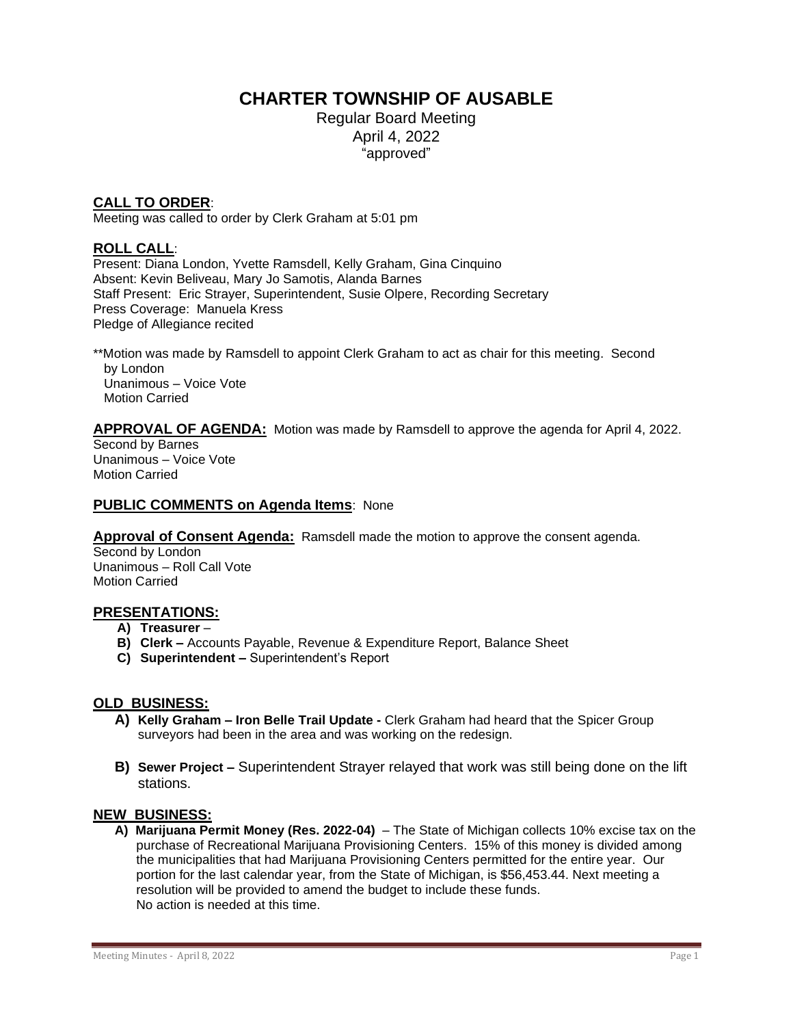# **CHARTER TOWNSHIP OF AUSABLE**

Regular Board Meeting April 4, 2022 "approved"

# **CALL TO ORDER**:

Meeting was called to order by Clerk Graham at 5:01 pm

## **ROLL CALL**:

Present: Diana London, Yvette Ramsdell, Kelly Graham, Gina Cinquino Absent: Kevin Beliveau, Mary Jo Samotis, Alanda Barnes Staff Present: Eric Strayer, Superintendent, Susie Olpere, Recording Secretary Press Coverage: Manuela Kress Pledge of Allegiance recited

\*\*Motion was made by Ramsdell to appoint Clerk Graham to act as chair for this meeting. Second by London Unanimous – Voice Vote Motion Carried

#### **APPROVAL OF AGENDA:** Motion was made by Ramsdell to approve the agenda for April 4, 2022.

Second by Barnes Unanimous – Voice Vote Motion Carried

#### **PUBLIC COMMENTS on Agenda Items**: None

**Approval of Consent Agenda:** Ramsdell made the motion to approve the consent agenda.

Second by London Unanimous – Roll Call Vote Motion Carried

#### **PRESENTATIONS:**

- **A) Treasurer** –
- **B) Clerk –** Accounts Payable, Revenue & Expenditure Report, Balance Sheet
- **C) Superintendent –** Superintendent's Report

#### **OLD BUSINESS:**

- **A) Kelly Graham – Iron Belle Trail Update -** Clerk Graham had heard that the Spicer Group surveyors had been in the area and was working on the redesign.
- **B) Sewer Project –** Superintendent Strayer relayed that work was still being done on the lift stations.

#### **NEW BUSINESS:**

 **A) Marijuana Permit Money (Res. 2022-04)** – The State of Michigan collects 10% excise tax on the purchase of Recreational Marijuana Provisioning Centers. 15% of this money is divided among the municipalities that had Marijuana Provisioning Centers permitted for the entire year. Our portion for the last calendar year, from the State of Michigan, is \$56,453.44. Next meeting a resolution will be provided to amend the budget to include these funds. No action is needed at this time.